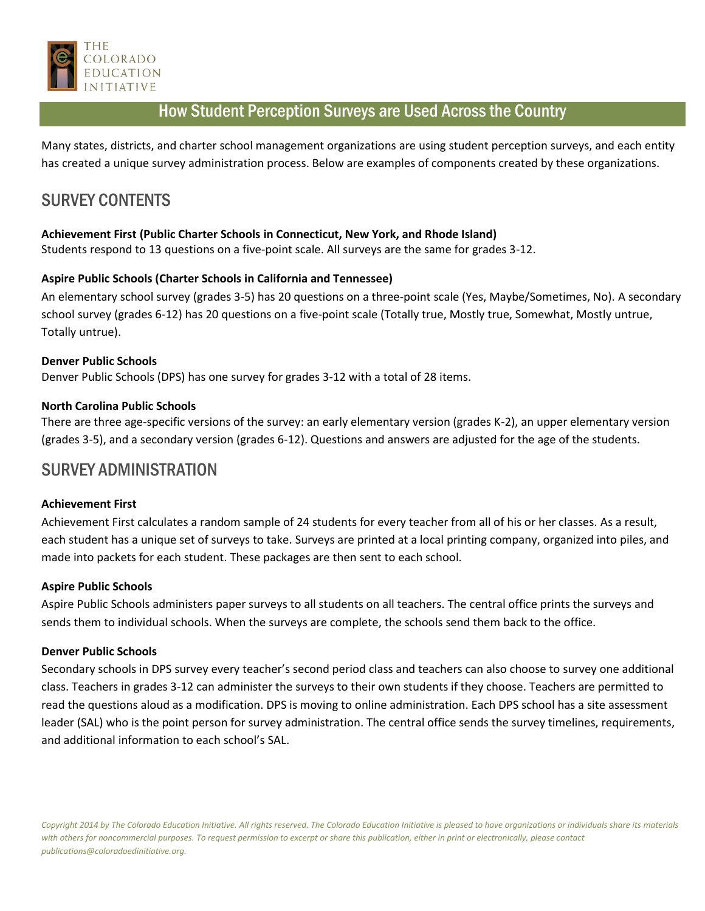

# How Student Perception Surveys are Used Across the Country

Many states, districts, and charter school management organizations are using student perception surveys, and each entity has created a unique survey administration process. Below are examples of components created by these organizations.

# SURVEY CONTENTS

# **Achievement First (Public Charter Schools in Connecticut, New York, and Rhode Island)**

Students respond to 13 questions on a five-point scale. All surveys are the same for grades 3-12.

# **Aspire Public Schools (Charter Schools in California and Tennessee)**

An elementary school survey (grades 3-5) has 20 questions on a three-point scale (Yes, Maybe/Sometimes, No). A secondary school survey (grades 6-12) has 20 questions on a five-point scale (Totally true, Mostly true, Somewhat, Mostly untrue, Totally untrue).

### **Denver Public Schools**

Denver Public Schools (DPS) has one survey for grades 3-12 with a total of 28 items.

### **North Carolina Public Schools**

There are three age-specific versions of the survey: an early elementary version (grades K-2), an upper elementary version (grades 3-5), and a secondary version (grades 6-12). Questions and answers are adjusted for the age of the students.

# SURVEY ADMINISTRATION

### **Achievement First**

Achievement First calculates a random sample of 24 students for every teacher from all of his or her classes. As a result, each student has a unique set of surveys to take. Surveys are printed at a local printing company, organized into piles, and made into packets for each student. These packages are then sent to each school.

### **Aspire Public Schools**

Aspire Public Schools administers paper surveys to all students on all teachers. The central office prints the surveys and sends them to individual schools. When the surveys are complete, the schools send them back to the office.

### **Denver Public Schools**

Secondary schools in DPS survey every teacher's second period class and teachers can also choose to survey one additional class. Teachers in grades 3-12 can administer the surveys to their own students if they choose. Teachers are permitted to read the questions aloud as a modification. DPS is moving to online administration. Each DPS school has a site assessment leader (SAL) who is the point person for survey administration. The central office sends the survey timelines, requirements, and additional information to each school's SAL.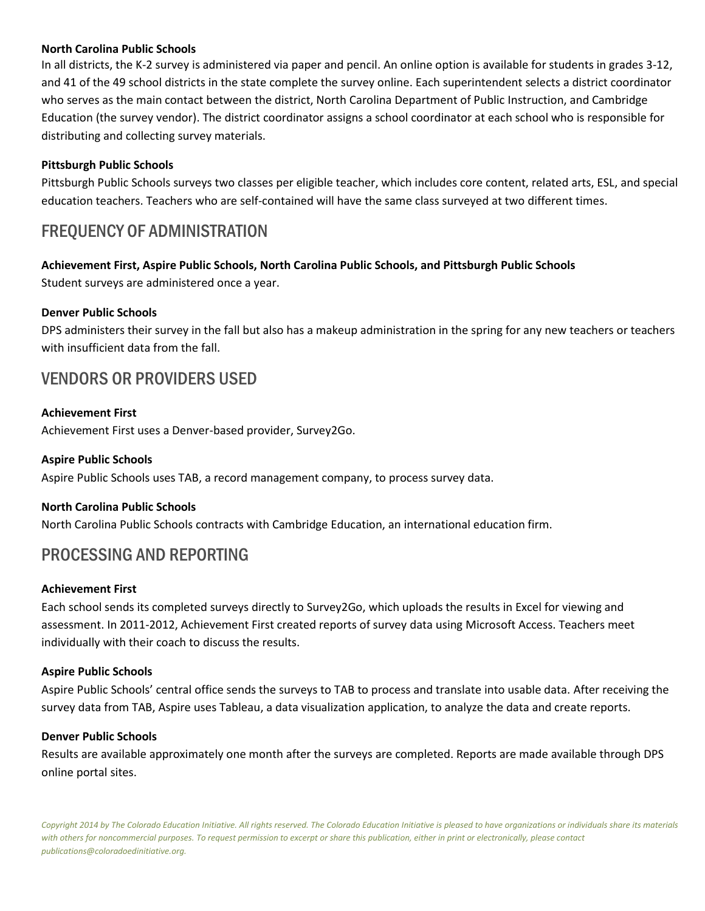### **North Carolina Public Schools**

In all districts, the K-2 survey is administered via paper and pencil. An online option is available for students in grades 3-12, and 41 of the 49 school districts in the state complete the survey online. Each superintendent selects a district coordinator who serves as the main contact between the district, North Carolina Department of Public Instruction, and Cambridge Education (the survey vendor). The district coordinator assigns a school coordinator at each school who is responsible for distributing and collecting survey materials.

# **Pittsburgh Public Schools**

Pittsburgh Public Schools surveys two classes per eligible teacher, which includes core content, related arts, ESL, and special education teachers. Teachers who are self-contained will have the same class surveyed at two different times.

# FREQUENCY OF ADMINISTRATION

# **Achievement First, Aspire Public Schools, North Carolina Public Schools, and Pittsburgh Public Schools**

Student surveys are administered once a year.

# **Denver Public Schools**

DPS administers their survey in the fall but also has a makeup administration in the spring for any new teachers or teachers with insufficient data from the fall.

# VENDORS OR PROVIDERS USED

### **Achievement First**

Achievement First uses a Denver-based provider, Survey2Go.

### **Aspire Public Schools**

Aspire Public Schools uses TAB, a record management company, to process survey data.

# **North Carolina Public Schools**

North Carolina Public Schools contracts with Cambridge Education, an international education firm.

# PROCESSING AND REPORTING

### **Achievement First**

Each school sends its completed surveys directly to Survey2Go, which uploads the results in Excel for viewing and assessment. In 2011-2012, Achievement First created reports of survey data using Microsoft Access. Teachers meet individually with their coach to discuss the results.

### **Aspire Public Schools**

Aspire Public Schools' central office sends the surveys to TAB to process and translate into usable data. After receiving the survey data from TAB, Aspire uses Tableau, a data visualization application, to analyze the data and create reports.

### **Denver Public Schools**

Results are available approximately one month after the surveys are completed. Reports are made available through DPS online portal sites.

*Copyright 2014 by The Colorado Education Initiative. All rights reserved. The Colorado Education Initiative is pleased to have organizations or individuals share its materials with others for noncommercial purposes. To request permission to excerpt or share this publication, either in print or electronically, please contact publications@coloradoedinitiative.org.*